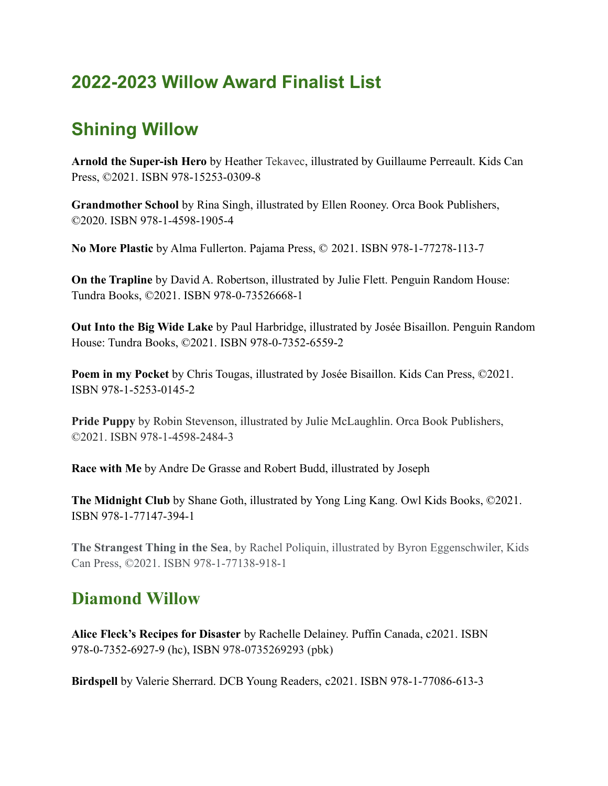## **2022-2023 Willow Award Finalist List**

## **Shining Willow**

**Arnold the Super-ish Hero** by Heather Tekavec, illustrated by Guillaume Perreault. Kids Can Press, ©2021. ISBN 978-15253-0309-8

**Grandmother School** by Rina Singh, illustrated by Ellen Rooney. Orca Book Publishers, ©2020. ISBN 978-1-4598-1905-4

**No More Plastic** by Alma Fullerton. Pajama Press, © 2021. ISBN 978-1-77278-113-7

**On the Trapline** by David A. Robertson, illustrated by Julie Flett. Penguin Random House: Tundra Books, ©2021. ISBN 978-0-73526668-1

**Out Into the Big Wide Lake** by Paul Harbridge, illustrated by Josée Bisaillon. Penguin Random House: Tundra Books, ©2021. ISBN 978-0-7352-6559-2

**Poem in my Pocket** by Chris Tougas, illustrated by Josée Bisaillon. Kids Can Press, ©2021. ISBN 978-1-5253-0145-2

**Pride Puppy** by Robin Stevenson, illustrated by Julie McLaughlin. Orca Book Publishers, ©2021. ISBN 978-1-4598-2484-3

**Race with Me** by Andre De Grasse and Robert Budd, illustrated by Joseph

**The Midnight Club** by Shane Goth, illustrated by Yong Ling Kang. Owl Kids Books, ©2021. ISBN 978-1-77147-394-1

**The Strangest Thing in the Sea**, by Rachel Poliquin, illustrated by Byron Eggenschwiler, Kids Can Press, ©2021. ISBN 978-1-77138-918-1

## **Diamond Willow**

**Alice Fleck's Recipes for Disaster** by Rachelle Delainey. Puffin Canada, c2021. ISBN 978-0-7352-6927-9 (hc), ISBN 978-0735269293 (pbk)

**Birdspell** by Valerie Sherrard. DCB Young Readers, c2021. ISBN 978-1-77086-613-3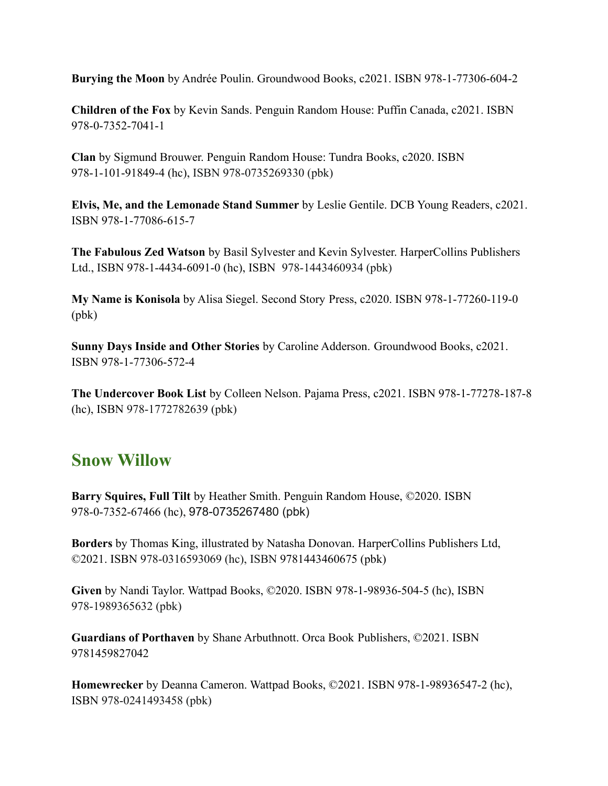**Burying the Moon** by Andrée Poulin. Groundwood Books, c2021. ISBN 978-1-77306-604-2

**Children of the Fox** by Kevin Sands. Penguin Random House: Puffin Canada, c2021. ISBN 978-0-7352-7041-1

**Clan** by Sigmund Brouwer. Penguin Random House: Tundra Books, c2020. ISBN 978-1-101-91849-4 (hc), ISBN 978-0735269330 (pbk)

**Elvis, Me, and the Lemonade Stand Summer** by Leslie Gentile. DCB Young Readers, c2021. ISBN 978-1-77086-615-7

**The Fabulous Zed Watson** by Basil Sylvester and Kevin Sylvester. HarperCollins Publishers Ltd., ISBN 978-1-4434-6091-0 (hc), ISBN 978-1443460934 (pbk)

**My Name is Konisola** by Alisa Siegel. Second Story Press, c2020. ISBN 978-1-77260-119-0 (pbk)

**Sunny Days Inside and Other Stories** by Caroline Adderson. Groundwood Books, c2021. ISBN 978-1-77306-572-4

**The Undercover Book List** by Colleen Nelson. Pajama Press, c2021. ISBN 978-1-77278-187-8 (hc), ISBN 978-1772782639 (pbk)

## **Snow Willow**

**Barry Squires, Full Tilt** by Heather Smith. Penguin Random House, ©2020. ISBN 978-0-7352-67466 (hc), 978-0735267480 (pbk)

**Borders** by Thomas King, illustrated by Natasha Donovan. HarperCollins Publishers Ltd, ©2021. ISBN 978-0316593069 (hc), ISBN 9781443460675 (pbk)

**Given** by Nandi Taylor. Wattpad Books, ©2020. ISBN 978-1-98936-504-5 (hc), ISBN 978-1989365632 (pbk)

**Guardians of Porthaven** by Shane Arbuthnott. Orca Book Publishers, ©2021. ISBN 9781459827042

**Homewrecker** by Deanna Cameron. Wattpad Books, ©2021. ISBN 978-1-98936547-2 (hc), ISBN 978-0241493458 (pbk)